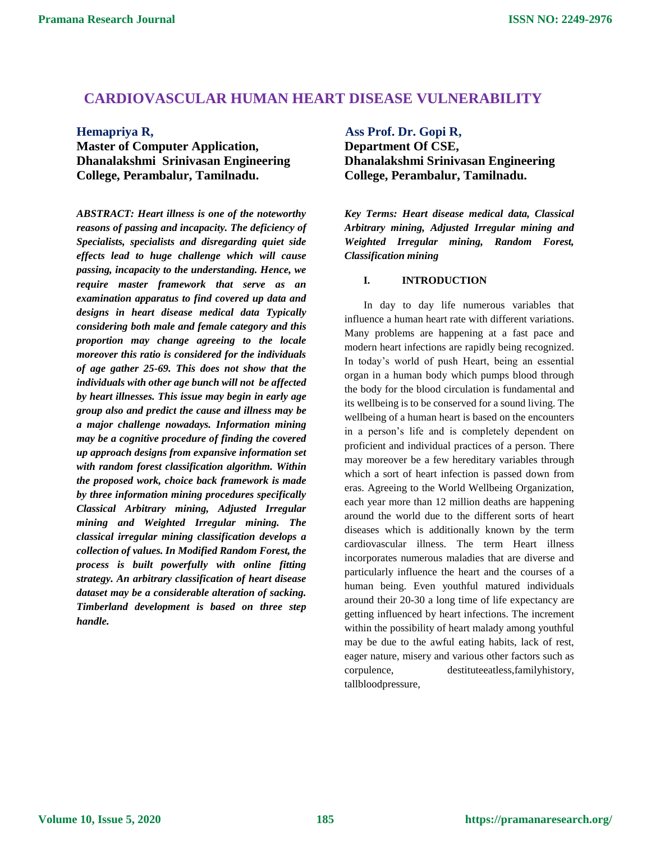# **CARDIOVASCULAR HUMAN HEART DISEASE VULNERABILITY**

**Master of Computer Application, Department Of CSE, Dhanalakshmi Srinivasan Engineering Dhanalakshmi Srinivasan Engineering College, Perambalur, Tamilnadu. College, Perambalur, Tamilnadu.**

*ABSTRACT: Heart illness is one of the noteworthy reasons of passing and incapacity. The deficiency of Specialists, specialists and disregarding quiet side effects lead to huge challenge which will cause passing, incapacity to the understanding. Hence, we require master framework that serve as an examination apparatus to find covered up data and designs in heart disease medical data Typically considering both male and female category and this proportion may change agreeing to the locale moreover this ratio is considered for the individuals of age gather 25-69. This does not show that the individuals with other age bunch will not be affected by heart illnesses. This issue may begin in early age group also and predict the cause and illness may be a major challenge nowadays. Information mining may be a cognitive procedure of finding the covered up approach designs from expansive information set with random forest classification algorithm. Within the proposed work, choice back framework is made by three information mining procedures specifically Classical Arbitrary mining, Adjusted Irregular mining and Weighted Irregular mining. The classical irregular mining classification develops a collection of values. In Modified Random Forest, the process is built powerfully with online fitting strategy. An arbitrary classification of heart disease dataset may be a considerable alteration of sacking. Timberland development is based on three step handle.*

**Hemapriya R, Ass Prof. Dr. Gopi R,**

*Key Terms: Heart disease medical data, Classical Arbitrary mining, Adjusted Irregular mining and Weighted Irregular mining, Random Forest, Classification mining*

#### **I. INTRODUCTION**

In day to day life numerous variables that influence a human heart rate with different variations. Many problems are happening at a fast pace and modern heart infections are rapidly being recognized. In today's world of push Heart, being an essential organ in a human body which pumps blood through the body for the blood circulation is fundamental and its wellbeing is to be conserved for a sound living. The wellbeing of a human heart is based on the encounters in a person's life and is completely dependent on proficient and individual practices of a person. There may moreover be a few hereditary variables through which a sort of heart infection is passed down from eras. Agreeing to the World Wellbeing Organization, each year more than 12 million deaths are happening around the world due to the different sorts of heart diseases which is additionally known by the term cardiovascular illness. The term Heart illness incorporates numerous maladies that are diverse and particularly influence the heart and the courses of a human being. Even youthful matured individuals around their 20-30 a long time of life expectancy are getting influenced by heart infections. The increment within the possibility of heart malady among youthful may be due to the awful eating habits, lack of rest, eager nature, misery and various other factors such as corpulence, destituteeatless,familyhistory, tallbloodpressure,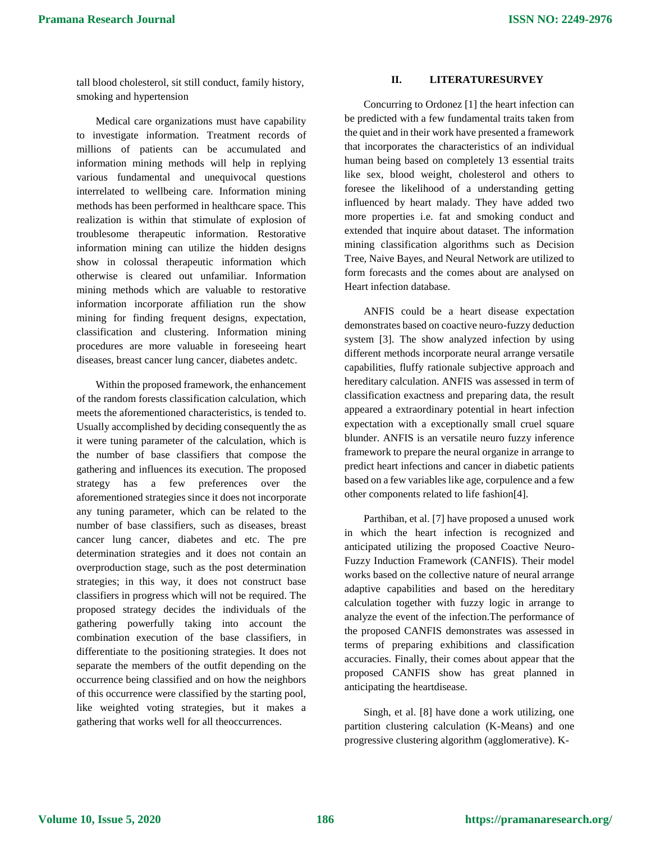tall blood cholesterol, sit still conduct, family history, smoking and hypertension

Medical care organizations must have capability to investigate information. Treatment records of millions of patients can be accumulated and information mining methods will help in replying various fundamental and unequivocal questions interrelated to wellbeing care. Information mining methods has been performed in healthcare space. This realization is within that stimulate of explosion of troublesome therapeutic information. Restorative information mining can utilize the hidden designs show in colossal therapeutic information which otherwise is cleared out unfamiliar. Information mining methods which are valuable to restorative information incorporate affiliation run the show mining for finding frequent designs, expectation, classification and clustering. Information mining procedures are more valuable in foreseeing heart diseases, breast cancer lung cancer, diabetes andetc.

Within the proposed framework, the enhancement of the random forests classification calculation, which meets the aforementioned characteristics, is tended to. Usually accomplished by deciding consequently the as it were tuning parameter of the calculation, which is the number of base classifiers that compose the gathering and influences its execution. The proposed strategy has a few preferences over the aforementioned strategies since it does not incorporate any tuning parameter, which can be related to the number of base classifiers, such as diseases, breast cancer lung cancer, diabetes and etc. The pre determination strategies and it does not contain an overproduction stage, such as the post determination strategies; in this way, it does not construct base classifiers in progress which will not be required. The proposed strategy decides the individuals of the gathering powerfully taking into account the combination execution of the base classifiers, in differentiate to the positioning strategies. It does not separate the members of the outfit depending on the occurrence being classified and on how the neighbors of this occurrence were classified by the starting pool, like weighted voting strategies, but it makes a gathering that works well for all theoccurrences.

#### **II. LITERATURESURVEY**

Concurring to Ordonez [1] the heart infection can be predicted with a few fundamental traits taken from the quiet and in their work have presented a framework that incorporates the characteristics of an individual human being based on completely 13 essential traits like sex, blood weight, cholesterol and others to foresee the likelihood of a understanding getting influenced by heart malady. They have added two more properties i.e. fat and smoking conduct and extended that inquire about dataset. The information mining classification algorithms such as Decision Tree, Naive Bayes, and Neural Network are utilized to form forecasts and the comes about are analysed on Heart infection database.

ANFIS could be a heart disease expectation demonstrates based on coactive neuro-fuzzy deduction system [3]. The show analyzed infection by using different methods incorporate neural arrange versatile capabilities, fluffy rationale subjective approach and hereditary calculation. ANFIS was assessed in term of classification exactness and preparing data, the result appeared a extraordinary potential in heart infection expectation with a exceptionally small cruel square blunder. ANFIS is an versatile neuro fuzzy inference framework to prepare the neural organize in arrange to predict heart infections and cancer in diabetic patients based on a few variables like age, corpulence and a few other components related to life fashion[4].

Parthiban, et al. [7] have proposed a unused work in which the heart infection is recognized and anticipated utilizing the proposed Coactive Neuro-Fuzzy Induction Framework (CANFIS). Their model works based on the collective nature of neural arrange adaptive capabilities and based on the hereditary calculation together with fuzzy logic in arrange to analyze the event of the infection.The performance of the proposed CANFIS demonstrates was assessed in terms of preparing exhibitions and classification accuracies. Finally, their comes about appear that the proposed CANFIS show has great planned in anticipating the heartdisease.

Singh, et al. [8] have done a work utilizing, one partition clustering calculation (K-Means) and one progressive clustering algorithm (agglomerative). K-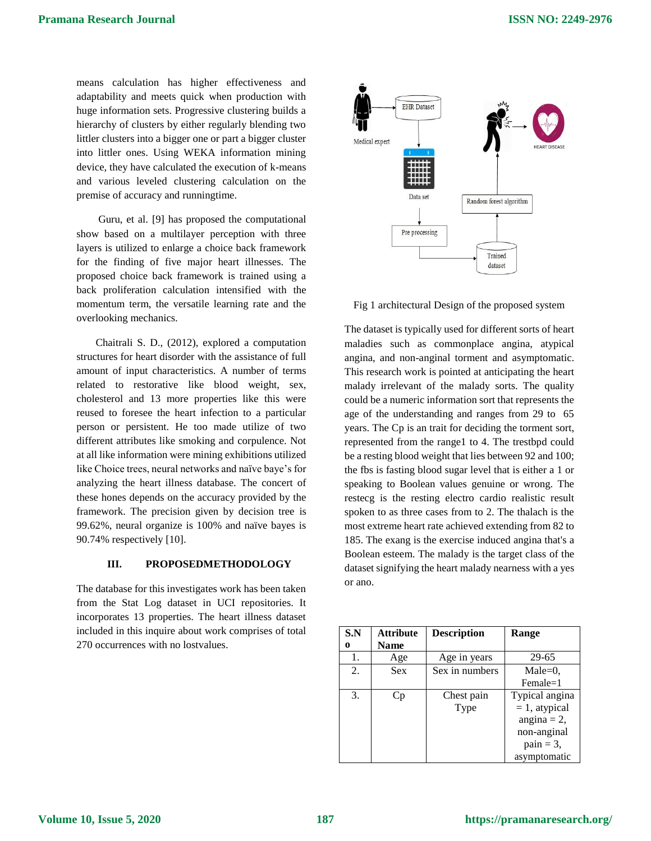means calculation has higher effectiveness and adaptability and meets quick when production with huge information sets. Progressive clustering builds a hierarchy of clusters by either regularly blending two littler clusters into a bigger one or part a bigger cluster into littler ones. Using WEKA information mining device, they have calculated the execution of k-means and various leveled clustering calculation on the premise of accuracy and runningtime.

Guru, et al. [9] has proposed the computational show based on a multilayer perception with three layers is utilized to enlarge a choice back framework for the finding of five major heart illnesses. The proposed choice back framework is trained using a back proliferation calculation intensified with the momentum term, the versatile learning rate and the overlooking mechanics.

Chaitrali S. D., (2012), explored a computation structures for heart disorder with the assistance of full amount of input characteristics. A number of terms related to restorative like blood weight, sex, cholesterol and 13 more properties like this were reused to foresee the heart infection to a particular person or persistent. He too made utilize of two different attributes like smoking and corpulence. Not at all like information were mining exhibitions utilized like Choice trees, neural networks and naïve baye's for analyzing the heart illness database. The concert of these hones depends on the accuracy provided by the framework. The precision given by decision tree is 99.62%, neural organize is 100% and naïve bayes is 90.74% respectively [10].

#### **III. PROPOSEDMETHODOLOGY**

The database for this investigates work has been taken from the Stat Log dataset in UCI repositories. It incorporates 13 properties. The heart illness dataset included in this inquire about work comprises of total 270 occurrences with no lostvalues.



Fig 1 architectural Design of the proposed system

The dataset is typically used for different sorts of heart maladies such as commonplace angina, atypical angina, and non-anginal torment and asymptomatic. This research work is pointed at anticipating the heart malady irrelevant of the malady sorts. The quality could be a numeric information sort that represents the age of the understanding and ranges from 29 to 65 years. The Cp is an trait for deciding the torment sort, represented from the range1 to 4. The trestbpd could be a resting blood weight that lies between 92 and 100; the fbs is fasting blood sugar level that is either a 1 or speaking to Boolean values genuine or wrong. The restecg is the resting electro cardio realistic result spoken to as three cases from to 2. The thalach is the most extreme heart rate achieved extending from 82 to 185. The exang is the exercise induced angina that's a Boolean esteem. The malady is the target class of the dataset signifying the heart malady nearness with a yes or ano.

| S.N | Attribute | <b>Description</b> | <b>Range</b>     |
|-----|-----------|--------------------|------------------|
|     | Name      |                    |                  |
| 1.  | Age       | Age in years       | 29-65            |
| 2.  | Sex       | Sex in numbers     | $Male=0$ ,       |
|     |           |                    | $Female=1$       |
| 3.  | Cр        | Chest pain         | Typical angina   |
|     |           | Type               | $= 1$ , atypical |
|     |           |                    | angina $= 2$ ,   |
|     |           |                    | non-anginal      |
|     |           |                    | $pain = 3,$      |
|     |           |                    | asymptomatic     |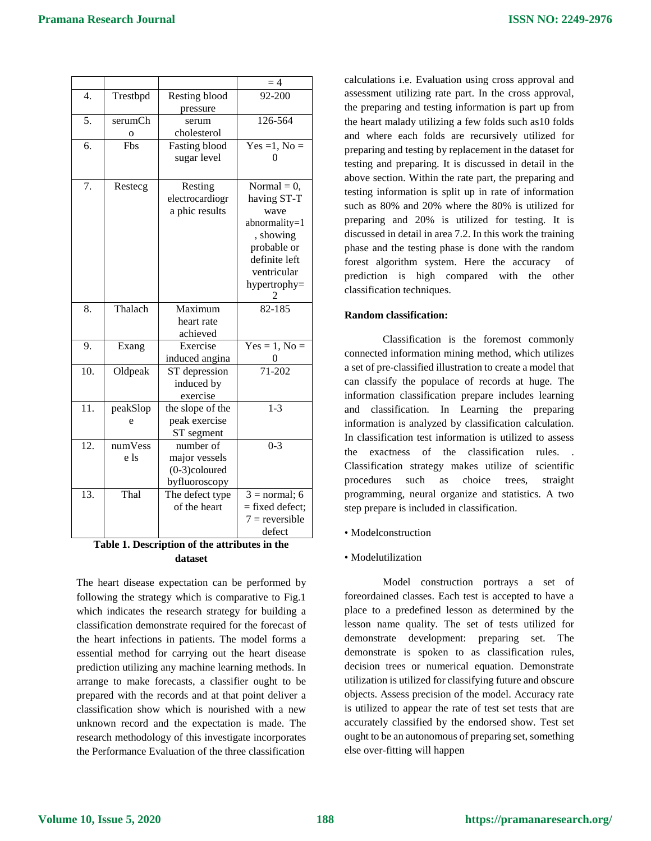|                   |                 |                                                                 | $=4$                                                                                                                               |
|-------------------|-----------------|-----------------------------------------------------------------|------------------------------------------------------------------------------------------------------------------------------------|
| $\overline{4}$ .  | Trestbpd        | Resting blood<br>pressure                                       | 92-200                                                                                                                             |
| 5.                | serumCh         | serum                                                           | 126-564                                                                                                                            |
|                   | o               | cholesterol                                                     |                                                                                                                                    |
| 6.                | Fbs             | <b>Fasting blood</b><br>sugar level                             | $Yes = 1, No =$<br>0                                                                                                               |
| 7.                | Restecg         | Resting<br>electrocardiogr<br>a phic results                    | Normal = $0$ ,<br>having ST-T<br>wave<br>abnormality=1<br>, showing<br>probable or<br>definite left<br>ventricular<br>hypertrophy= |
| 8.                | Thalach         | Maximum<br>heart rate<br>achieved                               | $82 - 185$                                                                                                                         |
| 9.                | Exang           | Exercise<br>induced angina                                      | $Yes = 1, No =$                                                                                                                    |
| 10.               | Oldpeak         | ST depression<br>induced by<br>exercise                         | $71 - 202$                                                                                                                         |
| $\overline{11}$ . | peakSlop<br>e   | the slope of the<br>peak exercise<br>ST segment                 | $1 - 3$                                                                                                                            |
| 12.               | numVess<br>e ls | number of<br>major vessels<br>$(0-3)$ coloured<br>byfluoroscopy | $0 - 3$                                                                                                                            |
| $\overline{13}$ . | Thal            | The defect type<br>of the heart                                 | $3 = normal$ ; 6<br>$=$ fixed defect;<br>$7$ = reversible<br>defect                                                                |

### **Table 1. Description of the attributes in the dataset**

The heart disease expectation can be performed by following the strategy which is comparative to Fig.1 which indicates the research strategy for building a classification demonstrate required for the forecast of the heart infections in patients. The model forms a essential method for carrying out the heart disease prediction utilizing any machine learning methods. In arrange to make forecasts, a classifier ought to be prepared with the records and at that point deliver a classification show which is nourished with a new unknown record and the expectation is made. The research methodology of this investigate incorporates the Performance Evaluation of the three classification

calculations i.e. Evaluation using cross approval and assessment utilizing rate part. In the cross approval, the preparing and testing information is part up from the heart malady utilizing a few folds such as10 folds and where each folds are recursively utilized for preparing and testing by replacement in the dataset for testing and preparing. It is discussed in detail in the above section. Within the rate part, the preparing and testing information is split up in rate of information such as 80% and 20% where the 80% is utilized for preparing and 20% is utilized for testing. It is discussed in detail in area 7.2. In this work the training phase and the testing phase is done with the random forest algorithm system. Here the accuracy of prediction is high compared with the other classification techniques.

### **Random classification:**

Classification is the foremost commonly connected information mining method, which utilizes a set of pre-classified illustration to create a model that can classify the populace of records at huge. The information classification prepare includes learning and classification. In Learning the preparing information is analyzed by classification calculation. In classification test information is utilized to assess the exactness of the classification rules. . Classification strategy makes utilize of scientific procedures such as choice trees, straight programming, neural organize and statistics. A two step prepare is included in classification.

- Modelconstruction
- Modelutilization

Model construction portrays a set of foreordained classes. Each test is accepted to have a place to a predefined lesson as determined by the lesson name quality. The set of tests utilized for demonstrate development: preparing set. The demonstrate is spoken to as classification rules, decision trees or numerical equation. Demonstrate utilization is utilized for classifying future and obscure objects. Assess precision of the model. Accuracy rate is utilized to appear the rate of test set tests that are accurately classified by the endorsed show. Test set ought to be an autonomous of preparing set, something else over-fitting will happen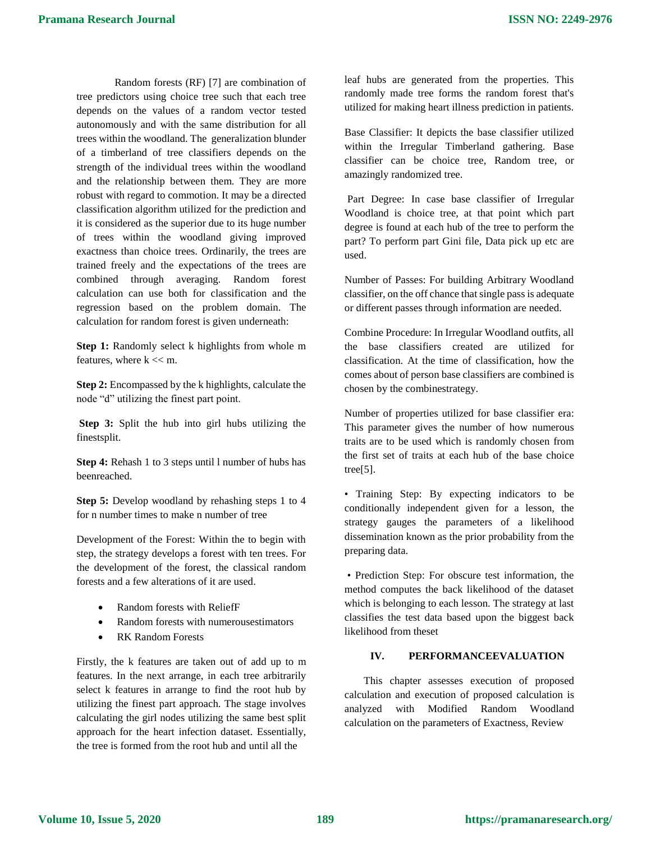Random forests (RF) [7] are combination of tree predictors using choice tree such that each tree depends on the values of a random vector tested autonomously and with the same distribution for all trees within the woodland. The generalization blunder of a timberland of tree classifiers depends on the strength of the individual trees within the woodland and the relationship between them. They are more robust with regard to commotion. It may be a directed classification algorithm utilized for the prediction and it is considered as the superior due to its huge number of trees within the woodland giving improved exactness than choice trees. Ordinarily, the trees are trained freely and the expectations of the trees are combined through averaging. Random forest calculation can use both for classification and the regression based on the problem domain. The calculation for random forest is given underneath:

**Step 1:** Randomly select k highlights from whole m features, where  $k \ll m$ .

**Step 2:** Encompassed by the k highlights, calculate the node "d" utilizing the finest part point.

**Step 3:** Split the hub into girl hubs utilizing the finestsplit.

**Step 4:** Rehash 1 to 3 steps until 1 number of hubs has beenreached.

**Step 5:** Develop woodland by rehashing steps 1 to 4 for n number times to make n number of tree

Development of the Forest: Within the to begin with step, the strategy develops a forest with ten trees. For the development of the forest, the classical random forests and a few alterations of it are used.

- Random forests with ReliefF
- Random forests with numerousestimators
- RK Random Forests

Firstly, the k features are taken out of add up to m features. In the next arrange, in each tree arbitrarily select k features in arrange to find the root hub by utilizing the finest part approach. The stage involves calculating the girl nodes utilizing the same best split approach for the heart infection dataset. Essentially, the tree is formed from the root hub and until all the

leaf hubs are generated from the properties. This randomly made tree forms the random forest that's utilized for making heart illness prediction in patients.

Base Classifier: It depicts the base classifier utilized within the Irregular Timberland gathering. Base classifier can be choice tree, Random tree, or amazingly randomized tree.

Part Degree: In case base classifier of Irregular Woodland is choice tree, at that point which part degree is found at each hub of the tree to perform the part? To perform part Gini file, Data pick up etc are used.

Number of Passes: For building Arbitrary Woodland classifier, on the off chance that single pass is adequate or different passes through information are needed.

Combine Procedure: In Irregular Woodland outfits, all the base classifiers created are utilized for classification. At the time of classification, how the comes about of person base classifiers are combined is chosen by the combinestrategy.

Number of properties utilized for base classifier era: This parameter gives the number of how numerous traits are to be used which is randomly chosen from the first set of traits at each hub of the base choice tree $[5]$ .

• Training Step: By expecting indicators to be conditionally independent given for a lesson, the strategy gauges the parameters of a likelihood dissemination known as the prior probability from the preparing data.

• Prediction Step: For obscure test information, the method computes the back likelihood of the dataset which is belonging to each lesson. The strategy at last classifies the test data based upon the biggest back likelihood from theset

## **IV. PERFORMANCEEVALUATION**

This chapter assesses execution of proposed calculation and execution of proposed calculation is analyzed with Modified Random Woodland calculation on the parameters of Exactness, Review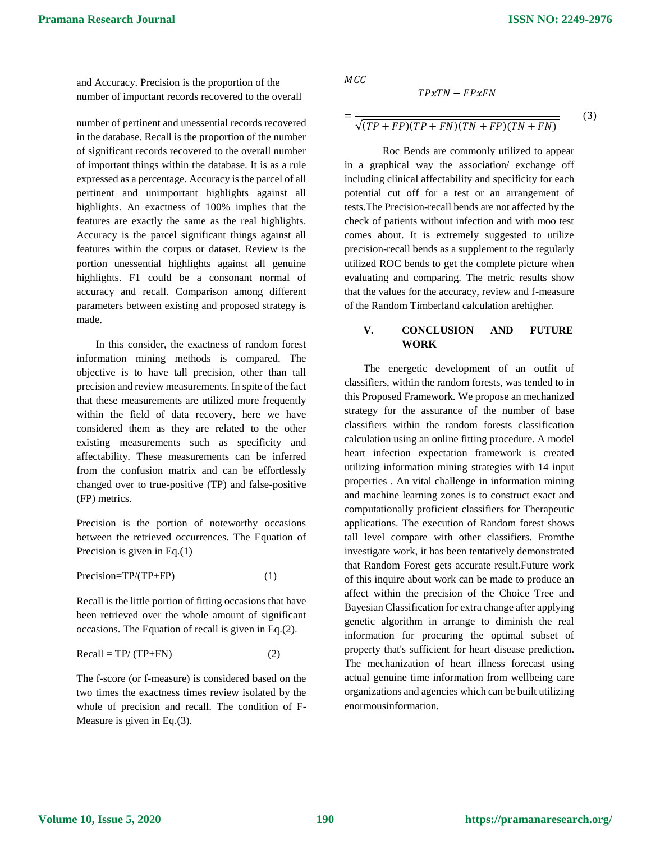and Accuracy. Precision is the proportion of the number of important records recovered to the overall

number of pertinent and unessential records recovered in the database. Recall is the proportion of the number of significant records recovered to the overall number of important things within the database. It is as a rule expressed as a percentage. Accuracy is the parcel of all pertinent and unimportant highlights against all highlights. An exactness of 100% implies that the features are exactly the same as the real highlights. Accuracy is the parcel significant things against all features within the corpus or dataset. Review is the portion unessential highlights against all genuine highlights. F1 could be a consonant normal of accuracy and recall. Comparison among different parameters between existing and proposed strategy is made.

In this consider, the exactness of random forest information mining methods is compared. The objective is to have tall precision, other than tall precision and review measurements. In spite of the fact that these measurements are utilized more frequently within the field of data recovery, here we have considered them as they are related to the other existing measurements such as specificity and affectability. These measurements can be inferred from the confusion matrix and can be effortlessly changed over to true-positive (TP) and false-positive (FP) metrics.

Precision is the portion of noteworthy occasions between the retrieved occurrences. The Equation of Precision is given in Eq.(1)

$$
Precision = TP/(TP + FP)
$$
 (1)

Recall is the little portion of fitting occasions that have been retrieved over the whole amount of significant occasions. The Equation of recall is given in Eq.(2).

$$
Recall = TP/(TP+FN)
$$
 (2)

The f-score (or f-measure) is considered based on the two times the exactness times review isolated by the whole of precision and recall. The condition of F-Measure is given in Eq.(3).

**MCC** 

$$
TPxTN - FPxFN
$$

$$
=\frac{}{\sqrt{(TP+FP)(TP+FN)(TN+FP)(TN+FN)}}
$$
(3)

Roc Bends are commonly utilized to appear in a graphical way the association/ exchange off including clinical affectability and specificity for each potential cut off for a test or an arrangement of tests.The Precision-recall bends are not affected by the check of patients without infection and with moo test comes about. It is extremely suggested to utilize precision-recall bends as a supplement to the regularly utilized ROC bends to get the complete picture when evaluating and comparing. The metric results show that the values for the accuracy, review and f-measure of the Random Timberland calculation arehigher.

# **V. CONCLUSION AND FUTURE WORK**

The energetic development of an outfit of classifiers, within the random forests, was tended to in this Proposed Framework. We propose an mechanized strategy for the assurance of the number of base classifiers within the random forests classification calculation using an online fitting procedure. A model heart infection expectation framework is created utilizing information mining strategies with 14 input properties . An vital challenge in information mining and machine learning zones is to construct exact and computationally proficient classifiers for Therapeutic applications. The execution of Random forest shows tall level compare with other classifiers. Fromthe investigate work, it has been tentatively demonstrated that Random Forest gets accurate result.Future work of this inquire about work can be made to produce an affect within the precision of the Choice Tree and Bayesian Classification for extra change after applying genetic algorithm in arrange to diminish the real information for procuring the optimal subset of property that's sufficient for heart disease prediction. The mechanization of heart illness forecast using actual genuine time information from wellbeing care organizations and agencies which can be built utilizing enormousinformation.